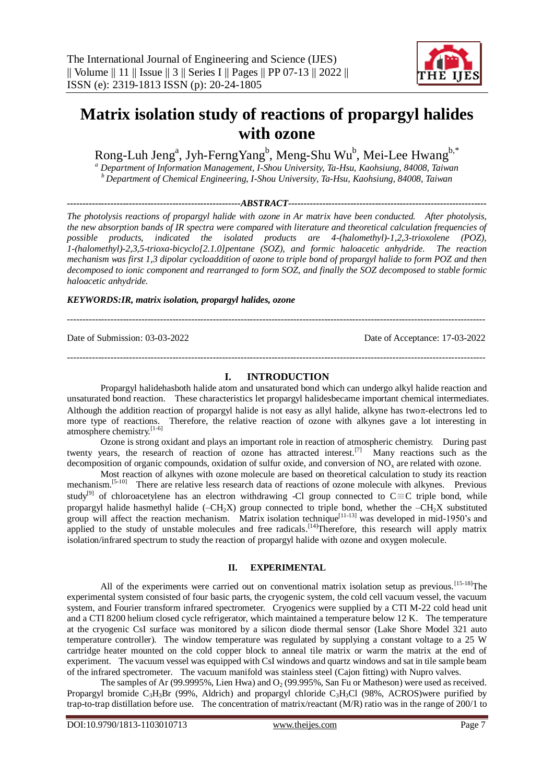

# **Matrix isolation study of reactions of propargyl halides with ozone**

Rong-Luh Jeng<sup>a</sup>, Jyh-FerngYang<sup>b</sup>, Meng-Shu Wu<sup>b</sup>, Mei-Lee Hwang<sup>b,\*</sup>

*<sup>a</sup> Department of Information Management, I-Shou University, Ta-Hsu, Kaohsiung, 84008, Taiwan <sup>b</sup>Department of Chemical Engineering, I-Shou University, Ta-Hsu, Kaohsiung, 84008, Taiwan*

*--------------------------------------------------------ABSTRACT----------------------------------------------------------------*

*The photolysis reactions of propargyl halide with ozone in Ar matrix have been conducted. After photolysis, the new absorption bands of IR spectra were compared with literature and theoretical calculation frequencies of possible products, indicated the isolated products are 4-(halomethyl)-1,2,3-trioxolene (POZ), 1-(halomethyl)-2,3,5-trioxa-bicyclo[2.1.0]pentane (SOZ), and formic haloacetic anhydride. The reaction mechanism was first 1,3 dipolar cycloaddition of ozone to triple bond of propargyl halide to form POZ and then decomposed to ionic component and rearranged to form SOZ, and finally the SOZ decomposed to stable formic haloacetic anhydride.*

*KEYWORDS:IR, matrix isolation, propargyl halides, ozone*

---------------------------------------------------------------------------------------------------------------------------------------

Date of Submission: 03-03-2022 Date of Acceptance: 17-03-2022

## **I. INTRODUCTION**

---------------------------------------------------------------------------------------------------------------------------------------

Propargyl halidehasboth halide atom and unsaturated bond which can undergo alkyl halide reaction and unsaturated bond reaction. These characteristics let propargyl halidesbecame important chemical intermediates. Although the addition reaction of propargyl halide is not easy as allyl halide, alkyne has two $\pi$ -electrons led to more type of reactions. Therefore, the relative reaction of ozone with alkynes gave a lot interesting in atmosphere chemistry.<sup>[1-6]</sup>

Ozone is strong oxidant and plays an important role in reaction of atmospheric chemistry. During past twenty years, the research of reaction of ozone has attracted interest.<sup>[7]</sup> Many reactions such as the decomposition of organic compounds, oxidation of sulfur oxide, and conversion of  $NO<sub>x</sub>$  are related with ozone.

Most reaction of alkynes with ozone molecule are based on theoretical calculation to study its reaction mechanism.<sup>[5-10]</sup> There are relative less research data of reactions of ozone molecule with alkynes. Previous study<sup>[9]</sup> of chloroacetylene has an electron withdrawing -Cl group connected to C $\equiv$ C triple bond, while propargyl halide hasmethyl halide ( $-CH_2X$ ) group connected to triple bond, whether the  $-CH_2X$  substituted group will affect the reaction mechanism. Matrix isolation technique<sup>[11-13]</sup> was developed in mid-1950's and applied to the study of unstable molecules and free radicals.<sup>[14]</sup>Therefore, this research will apply matrix isolation/infrared spectrum to study the reaction of propargyl halide with ozone and oxygen molecule.

## **II. EXPERIMENTAL**

All of the experiments were carried out on conventional matrix isolation setup as previous.<sup>[15-18]</sup>The experimental system consisted of four basic parts, the cryogenic system, the cold cell vacuum vessel, the vacuum system, and Fourier transform infrared spectrometer. Cryogenics were supplied by a CTI M-22 cold head unit and a CTI 8200 helium closed cycle refrigerator, which maintained a temperature below 12 K. The temperature at the cryogenic CsI surface was monitored by a silicon diode thermal sensor (Lake Shore Model 321 auto temperature controller). The window temperature was regulated by supplying a constant voltage to a 25 W cartridge heater mounted on the cold copper block to anneal tile matrix or warm the matrix at the end of experiment. The vacuum vessel was equipped with CsI windows and quartz windows and sat in tile sample beam of the infrared spectrometer. The vacuum manifold was stainless steel (Cajon fitting) with Nupro valves.

The samples of Ar (99.9995%, Lien Hwa) and  $O<sub>2</sub>$  (99.995%, San Fu or Matheson) were used as received. Propargyl bromide  $C_3H_3Br$  (99%, Aldrich) and propargyl chloride  $C_3H_3Cl$  (98%, ACROS)were purified by trap-to-trap distillation before use. The concentration of matrix/reactant (M/R) ratio was in the range of 200/1 to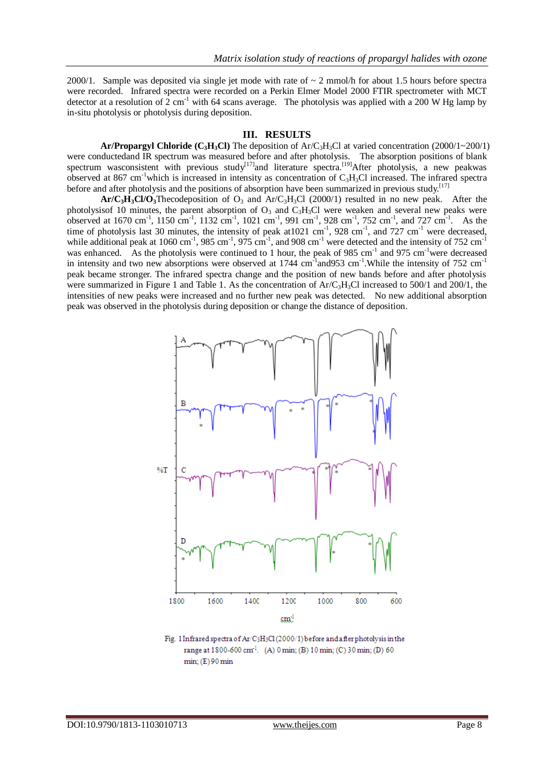2000/1. Sample was deposited via single jet mode with rate of  $\sim 2$  mmol/h for about 1.5 hours before spectra were recorded. Infrared spectra were recorded on a Perkin Elmer Model 2000 FTIR spectrometer with MCT detector at a resolution of 2 cm<sup>-1</sup> with 64 scans average. The photolysis was applied with a 200 W Hg lamp by in-situ photolysis or photolysis during deposition.

## **III. RESULTS**

**Ar/Propargyl Chloride (C<sub>3</sub>H<sub>3</sub>Cl)** The deposition of Ar/C<sub>3</sub>H<sub>3</sub>Cl at varied concentration (2000/1~200/1) were conductedand IR spectrum was measured before and after photolysis. The absorption positions of blank spectrum wasconsistent with previous study<sup>[17]</sup>and literature spectra.<sup>[19]</sup>After photolysis, a new peakwas observed at 867 cm<sup>-1</sup>which is increased in intensity as concentration of  $C_3H_3Cl$  increased. The infrared spectra before and after photolysis and the positions of absorption have been summarized in previous study.<sup>[17]</sup>

 $Ar/C<sub>3</sub>H<sub>3</sub>Cl/O<sub>3</sub> The codeposition of O<sub>3</sub> and Ar/C<sub>3</sub>H<sub>3</sub>Cl (2000/1) resulted in no new peak. After the$ photolysisof 10 minutes, the parent absorption of  $O_3$  and  $C_3H_3Cl$  were weaken and several new peaks were observed at 1670 cm<sup>-1</sup>, 1150 cm<sup>-1</sup>, 1132 cm<sup>-1</sup>, 1021 cm<sup>-1</sup>, 991 cm<sup>-1</sup>, 928 cm<sup>-1</sup>, 752 cm<sup>-1</sup>, and 727 cm<sup>-1</sup>. As the time of photolysis last 30 minutes, the intensity of peak at  $1021 \text{ cm}^{-1}$ ,  $928 \text{ cm}^{-1}$ , and  $727 \text{ cm}^{-1}$  were decreased, while additional peak at 1060 cm<sup>-1</sup>, 985 cm<sup>-1</sup>, 975 cm<sup>-1</sup>, and 908 cm<sup>-1</sup> were detected and the intensity of 752 cm<sup>-1</sup> was enhanced. As the photolysis were continued to 1 hour, the peak of 985 cm<sup>-1</sup> and 975 cm<sup>-1</sup>were decreased in intensity and two new absorptions were observed at 1744 cm<sup>-1</sup> and 953 cm<sup>-1</sup>. While the intensity of 752 cm<sup>-1</sup> peak became stronger. The infrared spectra change and the position of new bands before and after photolysis were summarized in Figure 1 and Table 1. As the concentration of  $Ar/C<sub>3</sub>H<sub>3</sub>Cl$  increased to 500/1 and 200/1, the intensities of new peaks were increased and no further new peak was detected. No new additional absorption peak was observed in the photolysis during deposition or change the distance of deposition.



Fig. 1 Infrared spectra of Ar/C<sub>3</sub>H<sub>3</sub>Cl (2000/1) before and after photolysis in the range at 1800-600 cm<sup>1</sup>. (A) 0 min; (B) 10 min; (C) 30 min; (D) 60  $min; (E) 90 min$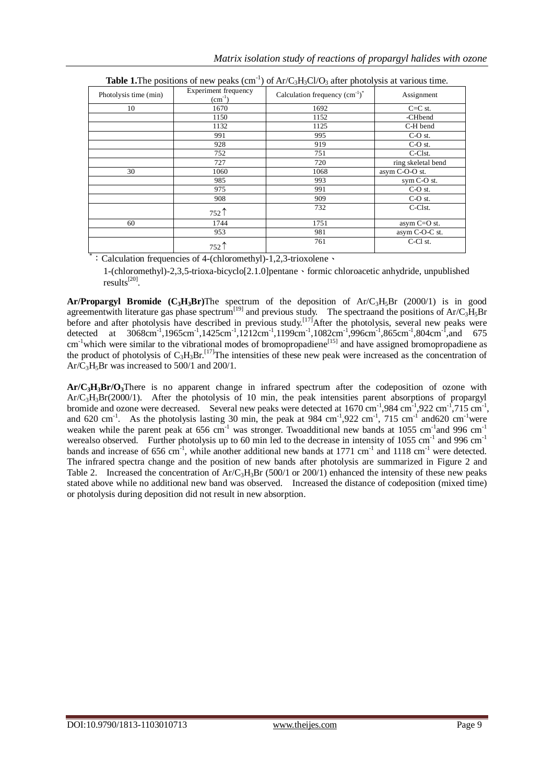|                       |                                     | <b>AND A CONTRACTED</b> of them peaks (exist ) of the experience prior of the matches allow |                    |
|-----------------------|-------------------------------------|---------------------------------------------------------------------------------------------|--------------------|
| Photolysis time (min) | Experiment frequency<br>$(cm^{-1})$ | Calculation frequency $\text{ (cm}^{-1})^*$                                                 | Assignment         |
| 10                    | 1670                                | 1692                                                                                        | $C=C$ st.          |
|                       | 1150                                | 1152                                                                                        | -CHbend            |
|                       | 1132                                | 1125                                                                                        | C-H bend           |
|                       | 991                                 | 995                                                                                         | C-O st.            |
|                       | 928                                 | 919                                                                                         | C-O st.            |
|                       | 752                                 | 751                                                                                         | C-Clst.            |
|                       | 727                                 | 720                                                                                         | ring skeletal bend |
| 30                    | 1060                                | 1068                                                                                        | asym C-O-O st.     |
|                       | 985                                 | 993                                                                                         | sym C-O st.        |
|                       | 975                                 | 991                                                                                         | C-O st.            |
|                       | 908                                 | 909                                                                                         | C-O st.            |
|                       | $752$ $\uparrow$                    | 732                                                                                         | C-Clst.            |
| 60                    | 1744                                | 1751                                                                                        | asym C=O st.       |
|                       | 953                                 | 981                                                                                         | asym C-O-C st.     |
|                       | $752$ 1                             | 761                                                                                         | C-Cl st.           |

| <b>Table 1.</b> The positions of new peaks (cm <sup>-1</sup> ) of Ar/C <sub>3</sub> H <sub>3</sub> Cl/O <sub>3</sub> after photolysis at various time. |  |
|--------------------------------------------------------------------------------------------------------------------------------------------------------|--|
|--------------------------------------------------------------------------------------------------------------------------------------------------------|--|

\*:Calculation frequencies of 4-(chloromethyl)-1,2,3-trioxolene、

1-(chloromethyl)-2,3,5-trioxa-bicyclo[2.1.0]pentane、formic chloroacetic anhydride, unpublished results<sup>[20]</sup>.

**Ar/Propargyl Bromide**  $(C_3H_3Br)$ The spectrum of the deposition of  $Ar/C_3H_5Br$  (2000/1) is in good agreementwith literature gas phase spectrum<sup>[19]</sup> and previous study. The spectraand the positions of Ar/C<sub>3</sub>H<sub>5</sub>Br before and after photolysis have described in previous study.<sup>[17]</sup>After the photolysis, several new peaks were detected at  $3068 \text{cm}^{-1}$ ,1965cm<sup>-1</sup>,1425cm<sup>-1</sup>,1212cm<sup>-1</sup>,1199cm<sup>-1</sup>,1082cm<sup>-1</sup>,996cm<sup>-1</sup>,865cm<sup>-1</sup>,804cm<sup>-1</sup>,and 675 cm<sup>-1</sup>which were similar to the vibrational modes of bromopropadiene<sup>[15]</sup> and have assigned bromopropadiene as the product of photolysis of  $C_3H_3Br$ .<sup>[17]</sup>The intensities of these new peak were increased as the concentration of  $Ar/C<sub>3</sub>H<sub>5</sub>Br$  was increased to  $500/1$  and  $200/1$ .

**Ar/C3H3Br/O3**There is no apparent change in infrared spectrum after the codeposition of ozone with Ar/C3H3Br(2000/1). After the photolysis of 10 min, the peak intensities parent absorptions of propargyl bromide and ozone were decreased. Several new peaks were detected at  $1670 \text{ cm}^{-1}$ , 984 cm<sup>-1</sup>, 922 cm<sup>-1</sup>, 715 cm<sup>-1</sup>, and 620 cm<sup>-1</sup>. As the photolysis lasting 30 min, the peak at 984 cm<sup>-1</sup>,922 cm<sup>-1</sup>, 715 cm<sup>-1</sup> and620 cm<sup>-1</sup>were weaken while the parent peak at 656 cm<sup>-1</sup> was stronger. Twoadditional new bands at 1055 cm<sup>-1</sup>and 996 cm<sup>-1</sup> werealso observed. Further photolysis up to 60 min led to the decrease in intensity of 1055 cm<sup>-1</sup> and 996 cm<sup>-1</sup> bands and increase of 656 cm<sup>-1</sup>, while another additional new bands at 1771 cm<sup>-1</sup> and 1118 cm<sup>-1</sup> were detected. The infrared spectra change and the position of new bands after photolysis are summarized in Figure 2 and Table 2. Increased the concentration of  $Ar/C_3H_3Br$  (500/1 or 200/1) enhanced the intensity of these new peaks stated above while no additional new band was observed. Increased the distance of codeposition (mixed time) or photolysis during deposition did not result in new absorption.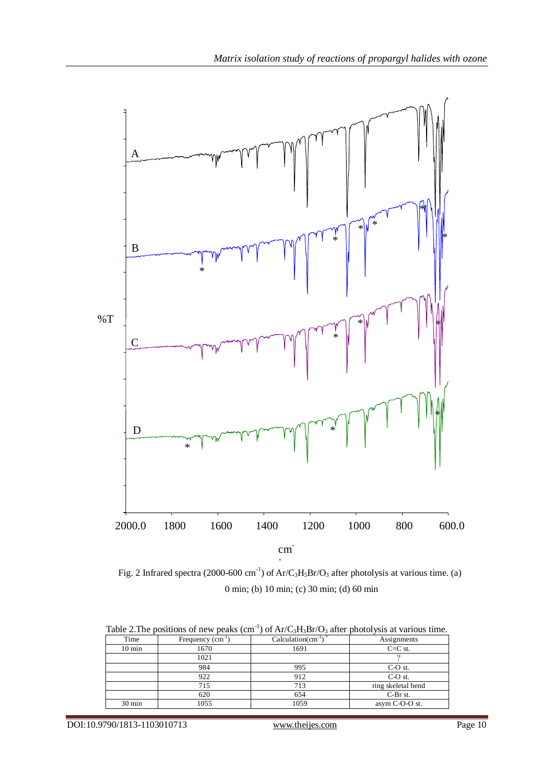

Fig. 2 Infrared spectra (2000-600 cm<sup>-1</sup>) of Ar/C<sub>3</sub>H<sub>5</sub>Br/O<sub>3</sub> after photolysis at various time. (a) 0 min; (b) 10 min; (c) 30 min; (d) 60 min

| Time             | Frequency $(cm-1)$ | Calculation( $cm^{-1}$ ) <sup>*</sup> | Assignments        |
|------------------|--------------------|---------------------------------------|--------------------|
| $10 \text{ min}$ | 1670               | 1691                                  | $C=C$ st.          |
|                  | 1021               |                                       |                    |
|                  | 984                | 995                                   | C-O st.            |
|                  | 922                | 912                                   | $C-O$ st.          |
|                  | 715                | 713                                   | ring skeletal bend |
|                  | 620                | 654                                   | C-Br st.           |
| $30 \text{ min}$ | 1055               | 1059                                  | asym C-O-O st.     |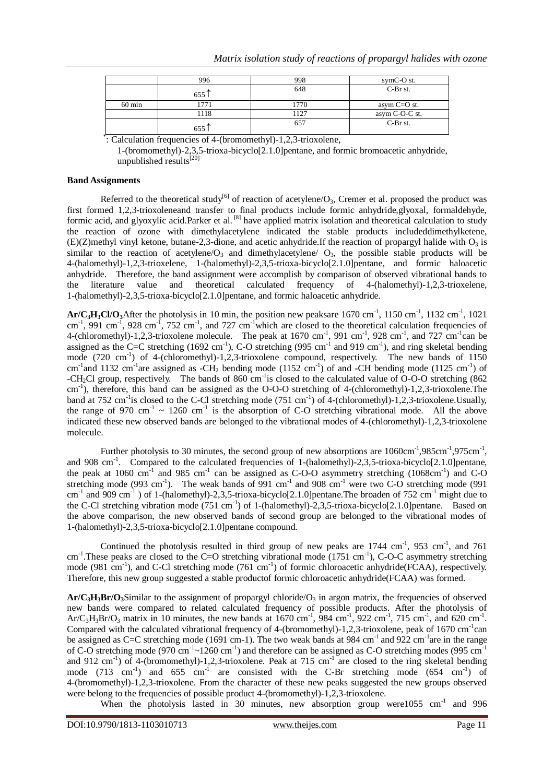|                  | 996              | 998  | symC-O st.     |
|------------------|------------------|------|----------------|
|                  | 655T             | 648  | $C-Br$ st.     |
| $60 \text{ min}$ | 771              | 1770 | asym $C=O$ st. |
|                  | 1118             | 1127 | asym C-O-C st. |
|                  | 655 <sup>"</sup> | 657  | C-Br st.       |

\* : Calculation frequencies of 4-(bromomethyl)-1,2,3-trioxolene,

1-(bromomethyl)-2,3,5-trioxa-bicyclo[2.1.0]pentane, and formic bromoacetic anhydride, unpublished results $^{[20]}$ 

## **Band Assignments**

Referred to the theoretical study<sup>[6]</sup> of reaction of acetylene/ $O_3$ , Cremer et al. proposed the product was first formed 1,2,3-trioxoleneand transfer to final products include formic anhydride,glyoxal, formaldehyde, formic acid, and glyoxylic acid.Parker et al. <sup>[8]</sup> have applied matrix isolation and theoretical calculation to study the reaction of ozone with dimethylacetylene indicated the stable products includeddimethylketene, (E)(Z)methyl vinyl ketone, butane-2,3-dione, and acetic anhydride.If the reaction of propargyl halide with  $O_3$  is similar to the reaction of acetylene/ $O_3$  and dimethylacetylene/  $O_3$ , the possible stable products will be 4-(halomethyl)-1,2,3-trioxelene, 1-(halomethyl)-2,3,5-trioxa-bicyclo[2.1.0]pentane, and formic haloacetic anhydride. Therefore, the band assignment were accomplish by comparison of observed vibrational bands to the literature value and theoretical calculated frequency of 4-(halomethyl)-1,2,3-trioxelene, 1-(halomethyl)-2,3,5-trioxa-bicyclo[2.1.0]pentane, and formic haloacetic anhydride.

 $Ar/C<sub>3</sub>H<sub>3</sub>Cl/O<sub>3</sub>$ After the photolysis in 10 min, the position new peaksare 1670 cm<sup>-1</sup>, 1150 cm<sup>-1</sup>, 1132 cm<sup>-1</sup>, 1021  $\text{cm}^{-1}$ , 991 cm<sup>-1</sup>, 928 cm<sup>-1</sup>, 752 cm<sup>-1</sup>, and 727 cm<sup>-1</sup>which are closed to the theoretical calculation frequencies of 4-(chloromethyl)-1,2,3-trioxolene molecule. The peak at 1670 cm<sup>-1</sup>, 991 cm<sup>-1</sup>, 928 cm<sup>-1</sup>, and 727 cm<sup>-1</sup>can be assigned as the C=C stretching  $(1692 \text{ cm}^{-1})$ , C-O stretching  $(995 \text{ cm}^{-1}$  and 919 cm<sup>-1</sup>), and ring skeletal bending mode (720 cm<sup>-1</sup>) of 4-(chloromethyl)-1,2,3-trioxolene compound, respectively. The new bands of 1150 cm<sup>-1</sup> and 1132 cm<sup>-1</sup> are assigned as -CH<sub>2</sub> bending mode (1152 cm<sup>-1</sup>) of and -CH bending mode (1125 cm<sup>-1</sup>) of -CH<sub>2</sub>Cl group, respectively. The bands of 860 cm<sup>-1</sup> is closed to the calculated value of O-O-O stretching (862) cm<sup>-1</sup>), therefore, this band can be assigned as the O-O-O stretching of 4-(chloromethyl)-1,2,3-trioxolene.The band at 752 cm<sup>-1</sup> is closed to the C-Cl stretching mode (751 cm<sup>-1</sup>) of 4-(chloromethyl)-1,2,3-trioxolene.Usually, the range of 970 cm<sup>-1</sup>  $\sim$  1260 cm<sup>-1</sup> is the absorption of C-O stretching vibrational mode. All the above indicated these new observed bands are belonged to the vibrational modes of 4-(chloromethyl)-1,2,3-trioxolene molecule.

Further photolysis to 30 minutes, the second group of new absorptions are  $1060 \text{cm}^{-1}$ ,  $985 \text{cm}^{-1}$ ,  $975 \text{cm}^{-1}$ , and 908 cm<sup>-1</sup>. Compared to the calculated frequencies of 1-(halomethyl)-2,3,5-trioxa-bicyclo[2.1.0]pentane, the peak at 1060 cm<sup>-1</sup> and 985 cm<sup>-1</sup> can be assigned as C-O-O asymmetry stretching  $(1068 \text{cm}^{-1})$  and C-O stretching mode (993 cm<sup>-1</sup>). The weak bands of 991 cm<sup>-1</sup> and 908 cm<sup>-1</sup> were two C-O stretching mode (991 cm<sup>-1</sup> and 909 cm<sup>-1</sup>) of 1-(halomethyl)-2,3,5-trioxa-bicyclo[2.1.0] pentane. The broaden of 752 cm<sup>-1</sup> might due to the C-Cl stretching vibration mode (751 cm<sup>-1</sup>) of 1-(halomethyl)-2,3,5-trioxa-bicyclo[2.1.0]pentane. Based on the above comparison, the new observed bands of second group are belonged to the vibrational modes of 1-(halomethyl)-2,3,5-trioxa-bicyclo[2.1.0]pentane compound.

Continued the photolysis resulted in third group of new peaks are  $1744 \text{ cm}^{-1}$ ,  $953 \text{ cm}^{-1}$ , and  $761$ cm<sup>-1</sup>. These peaks are closed to the C=O stretching vibrational mode (1751 cm<sup>-1</sup>), C-O-C asymmetry stretching mode (981 cm<sup>-1</sup>), and C-Cl stretching mode (761 cm<sup>-1</sup>) of formic chloroacetic anhydride(FCAA), respectively. Therefore, this new group suggested a stable productof formic chloroacetic anhydride(FCAA) was formed.

 $Ar/C<sub>3</sub>H<sub>3</sub>Br/O<sub>3</sub>$ Similar to the assignment of propargyl chloride/ $O<sub>3</sub>$  in argon matrix, the frequencies of observed new bands were compared to related calculated frequency of possible products. After the photolysis of  $Ar/C_3H_3Br/O_3$  matrix in 10 minutes, the new bands at 1670 cm<sup>-1</sup>, 984 cm<sup>-1</sup>, 922 cm<sup>-1</sup>, 715 cm<sup>-1</sup>, and 620 cm<sup>-1</sup>. Compared with the calculated vibrational frequency of 4-(bromomethyl)-1,2,3-trioxolene, peak of 1670 cm<sup>-1</sup>can be assigned as C=C stretching mode (1691 cm-1). The two weak bands at 984 cm<sup>-1</sup> and 922 cm<sup>-1</sup> are in the range of C-O stretching mode (970 cm<sup>-1</sup> $\sim$ 1260 cm<sup>-1</sup>) and therefore can be assigned as C-O stretching modes (995 cm<sup>-1</sup> and 912 cm<sup>-1</sup>) of 4-(bromomethyl)-1,2,3-trioxolene. Peak at 715 cm<sup>-1</sup> are closed to the ring skeletal bending mode (713 cm<sup>-1</sup>) and 655 cm<sup>-1</sup> are consisted with the C-Br stretching mode (654 cm<sup>-1</sup>) of 4-(bromomethyl)-1,2,3-trioxolene. From the character of these new peaks suggested the new groups observed were belong to the frequencies of possible product 4-(bromomethyl)-1,2,3-trioxolene.

When the photolysis lasted in 30 minutes, new absorption group were1055 cm<sup>-1</sup> and 996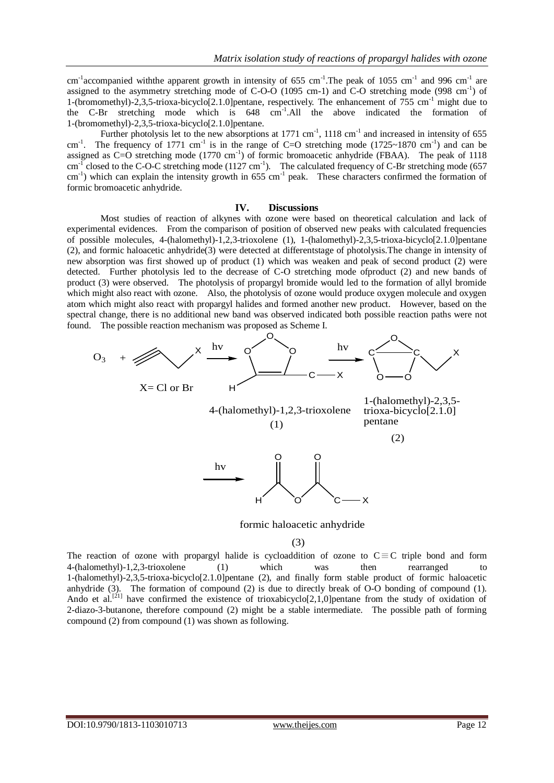cm<sup>-1</sup> accompanied with the apparent growth in intensity of 655 cm<sup>-1</sup>. The peak of 1055 cm<sup>-1</sup> and 996 cm<sup>-1</sup> are assigned to the asymmetry stretching mode of C-O-O (1095 cm-1) and C-O stretching mode (998 cm<sup>-1</sup>) of 1-(bromomethyl)-2,3,5-trioxa-bicyclo[2.1.0] pentane, respectively. The enhancement of  $755 \text{ cm}^{-1}$  might due to the C-Br stretching mode which is 648 cm-1 .All the above indicated the formation of 1-(bromomethyl)-2,3,5-trioxa-bicyclo[2.1.0]pentane.

Further photolysis let to the new absorptions at  $1771 \text{ cm}^{-1}$ ,  $1118 \text{ cm}^{-1}$  and increased in intensity of 655 cm<sup>-1</sup>. The frequency of 1771 cm<sup>-1</sup> is in the range of C=O stretching mode (1725~1870 cm<sup>-1</sup>) and can be assigned as  $C=O$  stretching mode (1770 cm<sup>-1</sup>) of formic bromoacetic anhydride (FBAA). The peak of 1118  $cm^{-1}$  closed to the C-O-C stretching mode (1127 cm<sup>-1</sup>). The calculated frequency of C-Br stretching mode (657  $\text{cm}^{-1}$ ) which can explain the intensity growth in 655 cm<sup>-1</sup> peak. These characters confirmed the formation of formic bromoacetic anhydride.

#### **IV. Discussions**

Most studies of reaction of alkynes with ozone were based on theoretical calculation and lack of experimental evidences. From the comparison of position of observed new peaks with calculated frequencies of possible molecules, 4-(halomethyl)-1,2,3-trioxolene (1), 1-(halomethyl)-2,3,5-trioxa-bicyclo[2.1.0]pentane (2), and formic haloacetic anhydride(3) were detected at differentstage of photolysis.The change in intensity of new absorption was first showed up of product (1) which was weaken and peak of second product (2) were detected. Further photolysis led to the decrease of C-O stretching mode ofproduct (2) and new bands of product (3) were observed. The photolysis of propargyl bromide would led to the formation of allyl bromide which might also react with ozone. Also, the photolysis of ozone would produce oxygen molecule and oxygen atom which might also react with propargyl halides and formed another new product. However, based on the spectral change, there is no additional new band was observed indicated both possible reaction paths were not found. The possible reaction mechanism was proposed as Scheme I.



formic haloacetic anhydride

## (3)

The reaction of ozone with propargyl halide is cycloaddition of ozone to  $C \equiv C$  triple bond and form 4-(halomethyl)-1,2,3-trioxolene (1) which was then rearranged to 1-(halomethyl)-2,3,5-trioxa-bicyclo[2.1.0]pentane (2), and finally form stable product of formic haloacetic anhydride (3). The formation of compound (2) is due to directly break of O-O bonding of compound (1). Ando et al.<sup>[21]</sup> have confirmed the existence of trioxabicyclo[2,1,0]pentane from the study of oxidation of 2-diazo-3-butanone, therefore compound (2) might be a stable intermediate. The possible path of forming compound (2) from compound (1) was shown as following.